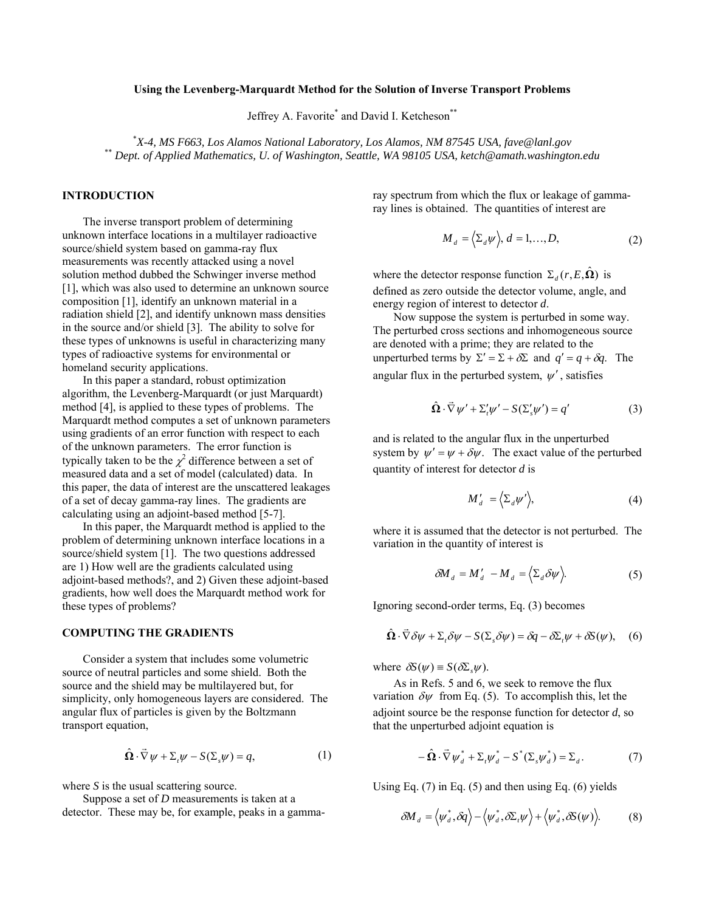### **Using the Levenberg-Marquardt Method for the Solution of Inverse Transport Problems**

Jeffrey A. Favorite<sup>\*</sup> and David I. Ketcheson<sup>\*\*</sup>

\*X-4, MS F663, Los Alamos National Laboratory, Los Alamos, NM 87545 USA, fave@lanl.gov *X-4, MS F663, Los Alamos National Laboratory, Los Alamos, NM 87545 USA, fave@lanl.gov* \*\* *Dept. of Applied Mathematics, U. of Washington, Seattle, WA 98105 USA, ketch@amath.washington.edu* 

### **INTRODUCTION**

The inverse transport problem of determining unknown interface locations in a multilayer radioactive source/shield system based on gamma-ray flux measurements was recently attacked using a novel solution method dubbed the Schwinger inverse method [1], which was also used to determine an unknown source composition [1], identify an unknown material in a radiation shield [2], and identify unknown mass densities in the source and/or shield [3]. The ability to solve for these types of unknowns is useful in characterizing many types of radioactive systems for environmental or homeland security applications.

In this paper a standard, robust optimization algorithm, the Levenberg-Marquardt (or just Marquardt) method [4], is applied to these types of problems. The Marquardt method computes a set of unknown parameters using gradients of an error function with respect to each of the unknown parameters. The error function is typically taken to be the  $\chi^2$  difference between a set of measured data and a set of model (calculated) data. In this paper, the data of interest are the unscattered leakages of a set of decay gamma-ray lines. The gradients are calculating using an adjoint-based method [5-7].

In this paper, the Marquardt method is applied to the problem of determining unknown interface locations in a source/shield system [1]. The two questions addressed are 1) How well are the gradients calculated using adjoint-based methods?, and 2) Given these adjoint-based gradients, how well does the Marquardt method work for these types of problems?

# **COMPUTING THE GRADIENTS**

Consider a system that includes some volumetric source of neutral particles and some shield. Both the source and the shield may be multilayered but, for simplicity, only homogeneous layers are considered. The angular flux of particles is given by the Boltzmann transport equation,

$$
\hat{\Omega} \cdot \vec{\nabla} \psi + \Sigma_t \psi - S(\Sigma_s \psi) = q,\tag{1}
$$

where *S* is the usual scattering source.

Suppose a set of *D* measurements is taken at a detector. These may be, for example, peaks in a gammaray spectrum from which the flux or leakage of gammaray lines is obtained. The quantities of interest are

$$
M_d = \langle \Sigma_d \psi \rangle, d = 1, ..., D,
$$
 (2)

where the detector response function  $\Sigma_d (r, E, \hat{\Omega})$  is defined as zero outside the detector volume, angle, and energy region of interest to detector *d*.

Now suppose the system is perturbed in some way. The perturbed cross sections and inhomogeneous source are denoted with a prime; they are related to the unperturbed terms by  $\Sigma' = \Sigma + \delta \Sigma$  and  $q' = q + \delta q$ . The angular flux in the perturbed system,  $\psi'$ , satisfies

$$
\hat{\Omega} \cdot \vec{\nabla} \psi' + \Sigma'_{i} \psi' - S(\Sigma'_{s} \psi') = q' \tag{3}
$$

and is related to the angular flux in the unperturbed system by  $\psi' = \psi + \delta \psi$ . The exact value of the perturbed quantity of interest for detector *d* is

$$
M'_d = \langle \Sigma_d \psi' \rangle, \tag{4}
$$

where it is assumed that the detector is not perturbed. The variation in the quantity of interest is

$$
\delta M_d = M'_d - M_d = \langle \Sigma_d \delta \psi \rangle. \tag{5}
$$

Ignoring second-order terms, Eq. (3) becomes

$$
\hat{\Omega} \cdot \vec{\nabla} \delta \psi + \Sigma_i \delta \psi - S(\Sigma_s \delta \psi) = \delta q - \delta \Sigma_i \psi + \delta S(\psi), \quad (6)
$$

where  $\delta S(\psi) \equiv S(\delta \Sigma, \psi)$ .

As in Refs. 5 and 6, we seek to remove the flux variation  $\delta \psi$  from Eq. (5). To accomplish this, let the adjoint source be the response function for detector *d*, so that the unperturbed adjoint equation is

$$
-\hat{\Omega}\cdot\vec{\nabla}\,\psi_d^* + \Sigma_t\psi_d^* - S^*(\Sigma_s\psi_d^*) = \Sigma_d.
$$
 (7)

Using Eq.  $(7)$  in Eq.  $(5)$  and then using Eq.  $(6)$  yields

$$
\delta M_d = \langle \psi_d^*, \delta q \rangle - \langle \psi_d^*, \delta \Sigma_t \psi \rangle + \langle \psi_d^*, \delta S(\psi) \rangle. \tag{8}
$$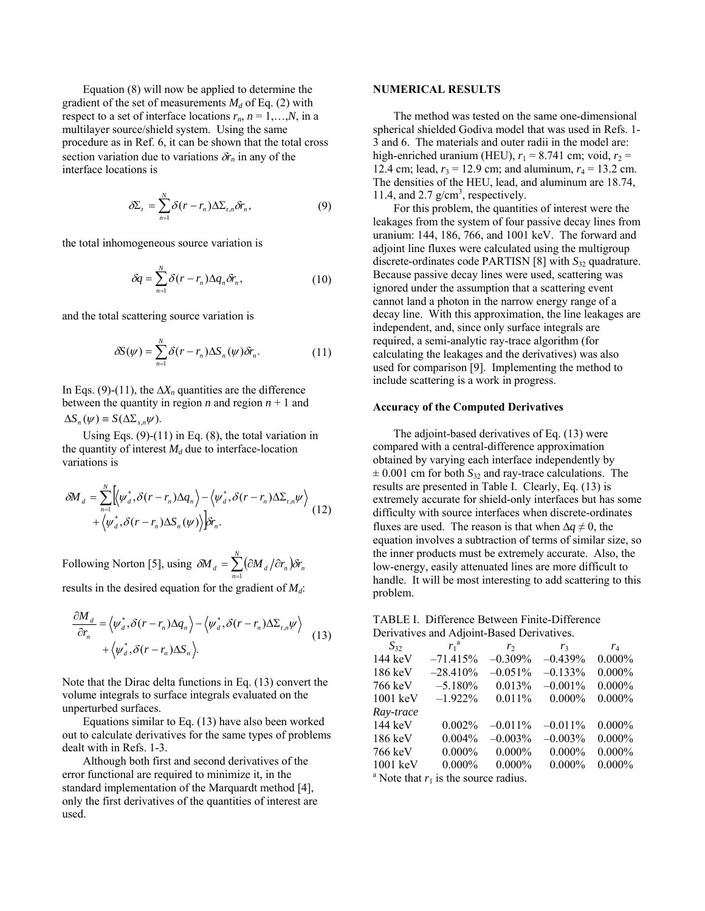Equation (8) will now be applied to determine the gradient of the set of measurements  $M_d$  of Eq. (2) with respect to a set of interface locations  $r_n$ ,  $n = 1,...,N$ , in a multilayer source/shield system. Using the same procedure as in Ref. 6, it can be shown that the total cross section variation due to variations  $\delta r_n$  in any of the interface locations is

$$
\delta \Sigma_t = \sum_{n=1}^N \delta(r - r_n) \Delta \Sigma_{t,n} \delta r_n, \qquad (9)
$$

the total inhomogeneous source variation is

$$
\delta q = \sum_{n=1}^{N} \delta(r - r_n) \Delta q_n \delta r_n, \qquad (10)
$$

and the total scattering source variation is

$$
\delta S(\psi) = \sum_{n=1}^{N} \delta(r - r_n) \Delta S_n(\psi) \delta r_n. \tag{11}
$$

In Eqs. (9)-(11), the  $\Delta X_n$  quantities are the difference between the quantity in region  $n$  and region  $n + 1$  and  $\Delta S_n(\psi) \equiv S(\Delta \Sigma_{s,n} \psi).$ 

Using Eqs.  $(9)-(11)$  in Eq.  $(8)$ , the total variation in the quantity of interest  $M_d$  due to interface-location variations is

$$
\delta M_{d} = \sum_{n=1}^{N} \left[ \langle \psi_{d}^{*}, \delta(r - r_{n}) \Delta q_{n} \rangle - \langle \psi_{d}^{*}, \delta(r - r_{n}) \Delta \Sigma_{t,n} \psi \rangle + \langle \psi_{d}^{*}, \delta(r - r_{n}) \Delta S_{n}(\psi) \rangle \right] \delta r_{n}.
$$
\n(12)

Following Norton [5], using  $\delta M_d = \sum_{n=1}^{N} (\partial M_d / \partial r_n)$  $\delta M$ <sub>*d*</sub> =  $\sum_{n=1}$  ( $\partial M$ <sub>*d</sub>* / $\partial r$ <sub>*n*</sub> ) $\delta r$ <sub>*n*</sub></sub>  $\delta M$  ,  $=$   $\sum$  ( $\partial M$  ,  $/\partial r$  )  $\delta r$ 

results in the desired equation for the gradient of  $M_d$ :

$$
\frac{\partial M_d}{\partial r_n} = \langle \psi_d^*, \delta(r - r_n) \Delta q_n \rangle - \langle \psi_d^*, \delta(r - r_n) \Delta \Sigma_{t,n} \psi \rangle
$$
  
+  $\langle \psi_d^*, \delta(r - r_n) \Delta S_n \rangle$ . (13)

Note that the Dirac delta functions in Eq. (13) convert the volume integrals to surface integrals evaluated on the unperturbed surfaces.

Equations similar to Eq. (13) have also been worked out to calculate derivatives for the same types of problems dealt with in Refs. 1-3.

Although both first and second derivatives of the error functional are required to minimize it, in the standard implementation of the Marquardt method [4], only the first derivatives of the quantities of interest are used.

# **NUMERICAL RESULTS**

The method was tested on the same one-dimensional spherical shielded Godiva model that was used in Refs. 1- 3 and 6. The materials and outer radii in the model are: high-enriched uranium (HEU),  $r_1 = 8.741$  cm; void,  $r_2 =$ 12.4 cm; lead,  $r_3 = 12.9$  cm; and aluminum,  $r_4 = 13.2$  cm. The densities of the HEU, lead, and aluminum are 18.74, 11.4, and 2.7  $g/cm<sup>3</sup>$ , respectively.

For this problem, the quantities of interest were the leakages from the system of four passive decay lines from uranium: 144, 186, 766, and 1001 keV. The forward and adjoint line fluxes were calculated using the multigroup discrete-ordinates code PARTISN  $[8]$  with  $S_{32}$  quadrature. Because passive decay lines were used, scattering was ignored under the assumption that a scattering event cannot land a photon in the narrow energy range of a decay line. With this approximation, the line leakages are independent, and, since only surface integrals are required, a semi-analytic ray-trace algorithm (for calculating the leakages and the derivatives) was also used for comparison [9]. Implementing the method to include scattering is a work in progress.

### **Accuracy of the Computed Derivatives**

The adjoint-based derivatives of Eq. (13) were compared with a central-difference approximation obtained by varying each interface independently by  $\pm$  0.001 cm for both  $S_{32}$  and ray-trace calculations. The results are presented in Table I. Clearly, Eq. (13) is extremely accurate for shield-only interfaces but has some difficulty with source interfaces when discrete-ordinates fluxes are used. The reason is that when  $\Delta q \neq 0$ , the equation involves a subtraction of terms of similar size, so the inner products must be extremely accurate. Also, the low-energy, easily attenuated lines are more difficult to handle. It will be most interesting to add scattering to this problem.

| TABLE I. Difference Between Finite-Difference |
|-----------------------------------------------|
| Derivatives and Adjoint-Based Derivatives.    |

| $S_{32}$                                           | $r_1^{\ a}$ | r <sub>2</sub> | r <sub>3</sub> | $r_4$     |  |
|----------------------------------------------------|-------------|----------------|----------------|-----------|--|
| $144 \text{ keV}$                                  | $-71.415%$  | $-0.309%$      | $-0.439%$      | $0.000\%$ |  |
| $186 \text{ keV}$                                  | $-28.410%$  | $-0.051\%$     | $-0.133%$      | $0.000\%$ |  |
| 766 keV                                            | $-5.180\%$  | 0.013%         | $-0.001%$      | $0.000\%$ |  |
| $1001 \text{ keV}$                                 | $-1.922%$   | 0.011%         | $0.000\%$      | $0.000\%$ |  |
| Ray-trace                                          |             |                |                |           |  |
| 144 keV                                            | $0.002\%$   | $-0.011\%$     | $-0.011\%$     | $0.000\%$ |  |
| 186 keV                                            | $0.004\%$   | $-0.003\%$     | $-0.003%$      | $0.000\%$ |  |
| 766 keV                                            | $0.000\%$   | $0.000\%$      | $0.000\%$      | $0.000\%$ |  |
| $1001$ keV                                         | $0.000\%$   | $0.000\%$      | $0.000\%$      | $0.000\%$ |  |
| <sup>a</sup> Note that $r_1$ is the source radius. |             |                |                |           |  |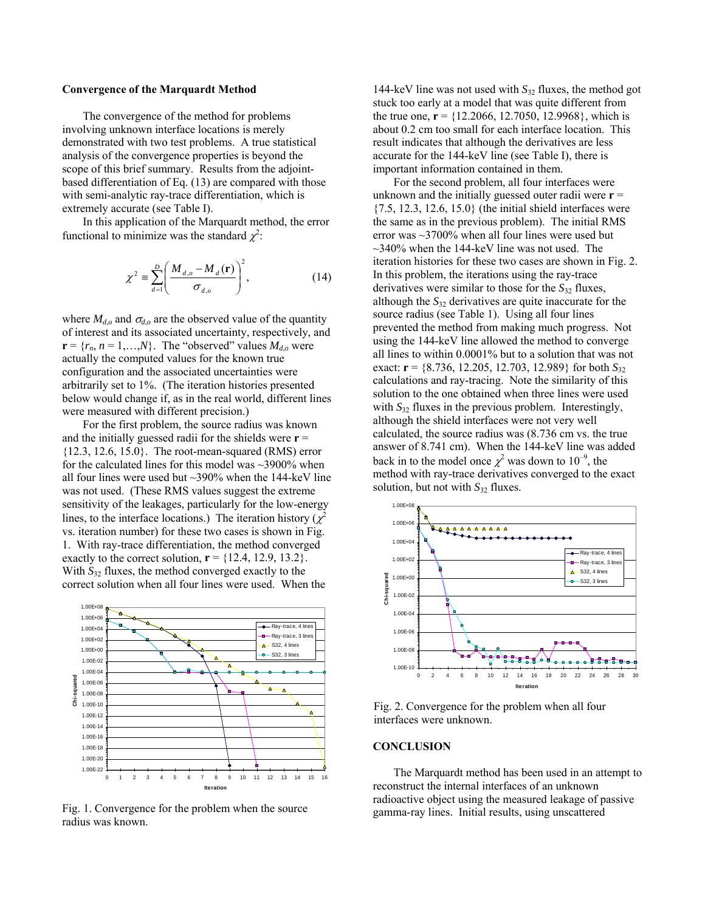#### **Convergence of the Marquardt Method**

The convergence of the method for problems involving unknown interface locations is merely demonstrated with two test problems. A true statistical analysis of the convergence properties is beyond the scope of this brief summary. Results from the adjointbased differentiation of Eq. (13) are compared with those with semi-analytic ray-trace differentiation, which is extremely accurate (see Table I).

In this application of the Marquardt method, the error functional to minimize was the standard  $\chi^2$ :

$$
\chi^2 \equiv \sum_{d=1}^{D} \left( \frac{M_{d,o} - M_d(\mathbf{r})}{\sigma_{d,o}} \right)^2, \tag{14}
$$

where  $M_{d,o}$  and  $\sigma_{d,o}$  are the observed value of the quantity of interest and its associated uncertainty, respectively, and  $\mathbf{r} = \{r_n, n = 1, \ldots, N\}$ . The "observed" values  $M_{d,o}$  were actually the computed values for the known true configuration and the associated uncertainties were arbitrarily set to 1%. (The iteration histories presented below would change if, as in the real world, different lines were measured with different precision.)

For the first problem, the source radius was known and the initially guessed radii for the shields were **r** =  $\{12.3, 12.6, 15.0\}$ . The root-mean-squared (RMS) error for the calculated lines for this model was  $\sim$ 3900% when all four lines were used but  $\sim$ 390% when the 144-keV line was not used. (These RMS values suggest the extreme sensitivity of the leakages, particularly for the low-energy lines, to the interface locations.) The iteration history ( $\chi^2$ vs. iteration number) for these two cases is shown in Fig. 1. With ray-trace differentiation, the method converged exactly to the correct solution,  $\mathbf{r} = \{12.4, 12.9, 13.2\}$ . With  $S_{32}$  fluxes, the method converged exactly to the correct solution when all four lines were used. When the



Fig. 1. Convergence for the problem when the source radius was known.

144-keV line was not used with *S*32 fluxes, the method got stuck too early at a model that was quite different from the true one,  $\mathbf{r} = \{12.2066, 12.7050, 12.9968\}$ , which is about 0.2 cm too small for each interface location. This result indicates that although the derivatives are less accurate for the 144-keV line (see Table I), there is important information contained in them.

For the second problem, all four interfaces were unknown and the initially guessed outer radii were  $\mathbf{r} =$ {7.5, 12.3, 12.6, 15.0} (the initial shield interfaces were the same as in the previous problem). The initial RMS error was ~3700% when all four lines were used but  $\sim$ 340% when the 144-keV line was not used. The iteration histories for these two cases are shown in Fig. 2. In this problem, the iterations using the ray-trace derivatives were similar to those for the  $S_{32}$  fluxes, although the *S*32 derivatives are quite inaccurate for the source radius (see Table 1). Using all four lines prevented the method from making much progress. Not using the 144-keV line allowed the method to converge all lines to within 0.0001% but to a solution that was not exact: **r** = {8.736, 12.205, 12.703, 12.989} for both  $S_{32}$ calculations and ray-tracing. Note the similarity of this solution to the one obtained when three lines were used with  $S_{32}$  fluxes in the previous problem. Interestingly, although the shield interfaces were not very well calculated, the source radius was (8.736 cm vs. the true answer of 8.741 cm). When the 144-keV line was added back in to the model once  $\chi^2$  was down to  $10^{-9}$ , the method with ray-trace derivatives converged to the exact solution, but not with  $S_{32}$  fluxes.



Fig. 2. Convergence for the problem when all four interfaces were unknown.

### **CONCLUSION**

The Marquardt method has been used in an attempt to reconstruct the internal interfaces of an unknown radioactive object using the measured leakage of passive gamma-ray lines. Initial results, using unscattered